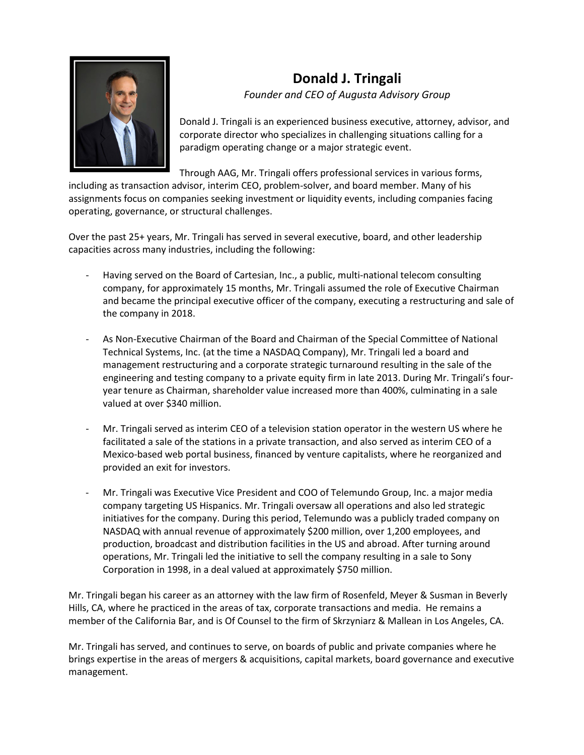

## **Donald J. Tringali** *Founder and CEO of Augusta Advisory Group*

Donald J. Tringali is an experienced business executive, attorney, advisor, and corporate director who specializes in challenging situations calling for a paradigm operating change or a major strategic event.

Through AAG, Mr. Tringali offers professional services in various forms,

including as transaction advisor, interim CEO, problem-solver, and board member. Many of his assignments focus on companies seeking investment or liquidity events, including companies facing operating, governance, or structural challenges.

Over the past 25+ years, Mr. Tringali has served in several executive, board, and other leadership capacities across many industries, including the following:

- Having served on the Board of Cartesian, Inc., a public, multi-national telecom consulting company, for approximately 15 months, Mr. Tringali assumed the role of Executive Chairman and became the principal executive officer of the company, executing a restructuring and sale of the company in 2018.
- As Non-Executive Chairman of the Board and Chairman of the Special Committee of National Technical Systems, Inc. (at the time a NASDAQ Company), Mr. Tringali led a board and management restructuring and a corporate strategic turnaround resulting in the sale of the engineering and testing company to a private equity firm in late 2013. During Mr. Tringali's fouryear tenure as Chairman, shareholder value increased more than 400%, culminating in a sale valued at over \$340 million.
- Mr. Tringali served as interim CEO of a television station operator in the western US where he facilitated a sale of the stations in a private transaction, and also served as interim CEO of a Mexico-based web portal business, financed by venture capitalists, where he reorganized and provided an exit for investors.
- Mr. Tringali was Executive Vice President and COO of Telemundo Group, Inc. a major media company targeting US Hispanics. Mr. Tringali oversaw all operations and also led strategic initiatives for the company. During this period, Telemundo was a publicly traded company on NASDAQ with annual revenue of approximately \$200 million, over 1,200 employees, and production, broadcast and distribution facilities in the US and abroad. After turning around operations, Mr. Tringali led the initiative to sell the company resulting in a sale to Sony Corporation in 1998, in a deal valued at approximately \$750 million.

Mr. Tringali began his career as an attorney with the law firm of Rosenfeld, Meyer & Susman in Beverly Hills, CA, where he practiced in the areas of tax, corporate transactions and media. He remains a member of the California Bar, and is Of Counsel to the firm of Skrzyniarz & Mallean in Los Angeles, CA.

Mr. Tringali has served, and continues to serve, on boards of public and private companies where he brings expertise in the areas of mergers & acquisitions, capital markets, board governance and executive management.